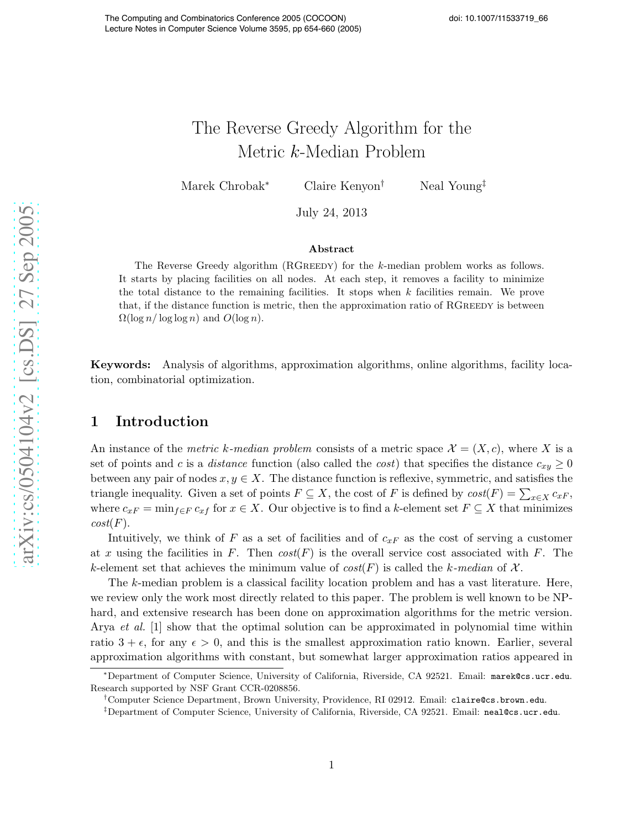# The Reverse Greedy Algorithm for the Metric k-Median Problem

Marek Chrobak<sup>∗</sup> Claire Kenyon† Neal Young‡

July 24, 2013

#### Abstract

The Reverse Greedy algorithm (RGreedy) for the k-median problem works as follows. It starts by placing facilities on all nodes. At each step, it removes a facility to minimize the total distance to the remaining facilities. It stops when  $k$  facilities remain. We prove that, if the distance function is metric, then the approximation ratio of RGREEDY is between  $\Omega(\log n / \log \log n)$  and  $O(\log n)$ .

Keywords: Analysis of algorithms, approximation algorithms, online algorithms, facility location, combinatorial optimization.

# 1 Introduction

An instance of the metric k-median problem consists of a metric space  $\mathcal{X} = (X, c)$ , where X is a set of points and c is a *distance* function (also called the cost) that specifies the distance  $c_{xy} \ge 0$ between any pair of nodes  $x, y \in X$ . The distance function is reflexive, symmetric, and satisfies the triangle inequality. Given a set of points  $F \subseteq X$ , the cost of F is defined by  $cost(F) = \sum_{x \in X} c_{xF}$ , where  $c_{xF} = \min_{f \in F} c_{xf}$  for  $x \in X$ . Our objective is to find a k-element set  $F \subseteq X$  that minimizes  $cost(F).$ 

Intuitively, we think of F as a set of facilities and of  $c_{xF}$  as the cost of serving a customer at x using the facilities in F. Then  $cost(F)$  is the overall service cost associated with F. The k-element set that achieves the minimum value of  $cost(F)$  is called the k-median of X.

The k-median problem is a classical facility location problem and has a vast literature. Here, we review only the work most directly related to this paper. The problem is well known to be NPhard, and extensive research has been done on approximation algorithms for the metric version. Arya *et al.* [\[1\]](#page-7-0) show that the optimal solution can be approximated in polynomial time within ratio  $3 + \epsilon$ , for any  $\epsilon > 0$ , and this is the smallest approximation ratio known. Earlier, several approximation algorithms with constant, but somewhat larger approximation ratios appeared in

<sup>∗</sup>Department of Computer Science, University of California, Riverside, CA 92521. Email: marek@cs.ucr.edu. Research supported by NSF Grant CCR-0208856.

<sup>†</sup>Computer Science Department, Brown University, Providence, RI 02912. Email: claire@cs.brown.edu.

<sup>‡</sup>Department of Computer Science, University of California, Riverside, CA 92521. Email: neal@cs.ucr.edu.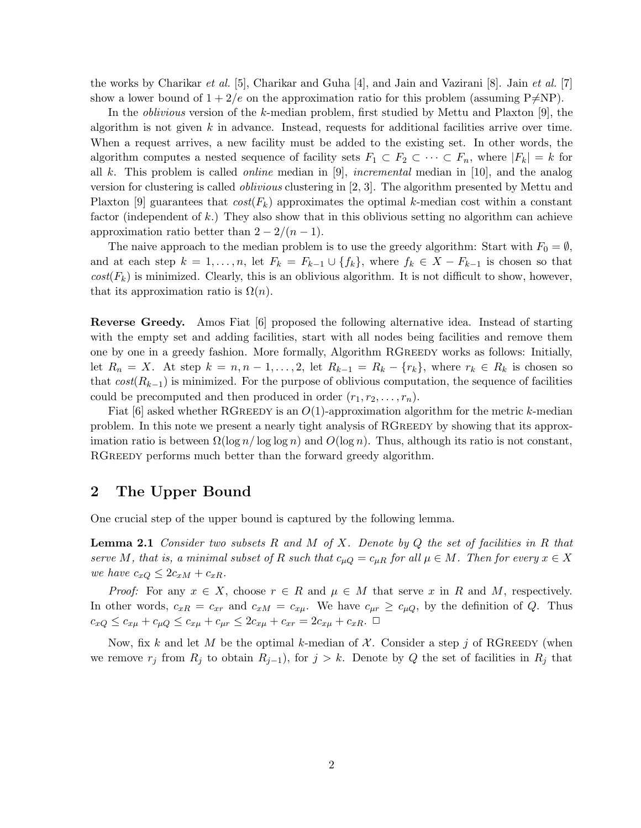the works by Charikar et al. [\[5\]](#page-7-1), Charikar and Guha [\[4\]](#page-7-2), and Jain and Vazirani [\[8\]](#page-7-3). Jain et al. [\[7\]](#page-7-4) show a lower bound of  $1 + 2/e$  on the approximation ratio for this problem (assuming P $\neq$ NP).

In the *oblivious* version of the k-median problem, first studied by Mettu and Plaxton [\[9\]](#page-7-5), the algorithm is not given  $k$  in advance. Instead, requests for additional facilities arrive over time. When a request arrives, a new facility must be added to the existing set. In other words, the algorithm computes a nested sequence of facility sets  $F_1 \subset F_2 \subset \cdots \subset F_n$ , where  $|F_k| = k$  for all k. This problem is called *online* median in [\[9\]](#page-7-5), *incremental* median in [\[10\]](#page-7-6), and the analog version for clustering is called oblivious clustering in [\[2,](#page-7-7) [3\]](#page-7-8). The algorithm presented by Mettu and Plaxton [\[9\]](#page-7-5) guarantees that  $cost(F_k)$  approximates the optimal k-median cost within a constant factor (independent of k.) They also show that in this oblivious setting no algorithm can achieve approximation ratio better than  $2 - \frac{2}{n-1}$ .

The naive approach to the median problem is to use the greedy algorithm: Start with  $F_0 = \emptyset$ , and at each step  $k = 1, \ldots, n$ , let  $F_k = F_{k-1} \cup \{f_k\}$ , where  $f_k \in X - F_{k-1}$  is chosen so that  $cost(F_k)$  is minimized. Clearly, this is an oblivious algorithm. It is not difficult to show, however, that its approximation ratio is  $\Omega(n)$ .

Reverse Greedy. Amos Fiat [\[6\]](#page-7-9) proposed the following alternative idea. Instead of starting with the empty set and adding facilities, start with all nodes being facilities and remove them one by one in a greedy fashion. More formally, Algorithm RGreedy works as follows: Initially, let  $R_n = X$ . At step  $k = n, n-1, \ldots, 2$ , let  $R_{k-1} = R_k - \{r_k\}$ , where  $r_k \in R_k$  is chosen so that  $cost(R_{k-1})$  is minimized. For the purpose of oblivious computation, the sequence of facilities could be precomputed and then produced in order  $(r_1, r_2, \ldots, r_n)$ .

Fiat  $[6]$  asked whether RGREEDY is an  $O(1)$ -approximation algorithm for the metric k-median problem. In this note we present a nearly tight analysis of RGREEDY by showing that its approximation ratio is between  $\Omega(\log n / \log \log n)$  and  $O(\log n)$ . Thus, although its ratio is not constant, RGREEDY performs much better than the forward greedy algorithm.

### <span id="page-1-1"></span>2 The Upper Bound

<span id="page-1-0"></span>One crucial step of the upper bound is captured by the following lemma.

**Lemma 2.1** Consider two subsets R and M of X. Denote by Q the set of facilities in R that serve M, that is, a minimal subset of R such that  $c_{\mu Q} = c_{\mu R}$  for all  $\mu \in M$ . Then for every  $x \in X$ we have  $c_{xQ} \leq 2c_{xM} + c_{xR}$ .

*Proof:* For any  $x \in X$ , choose  $r \in R$  and  $\mu \in M$  that serve x in R and M, respectively. In other words,  $c_{xR} = c_{xr}$  and  $c_{xM} = c_{x\mu}$ . We have  $c_{\mu r} \ge c_{\mu Q}$ , by the definition of Q. Thus  $c_{xQ} \leq c_{x\mu} + c_{\mu Q} \leq c_{x\mu} + c_{\mu r} \leq 2c_{x\mu} + c_{xr} = 2c_{x\mu} + c_{xR}$ .  $\Box$ 

Now, fix k and let M be the optimal k-median of  $\mathcal{X}$ . Consider a step j of RGREEDY (when we remove  $r_j$  from  $R_j$  to obtain  $R_{j-1}$ , for  $j>k$ . Denote by Q the set of facilities in  $R_j$  that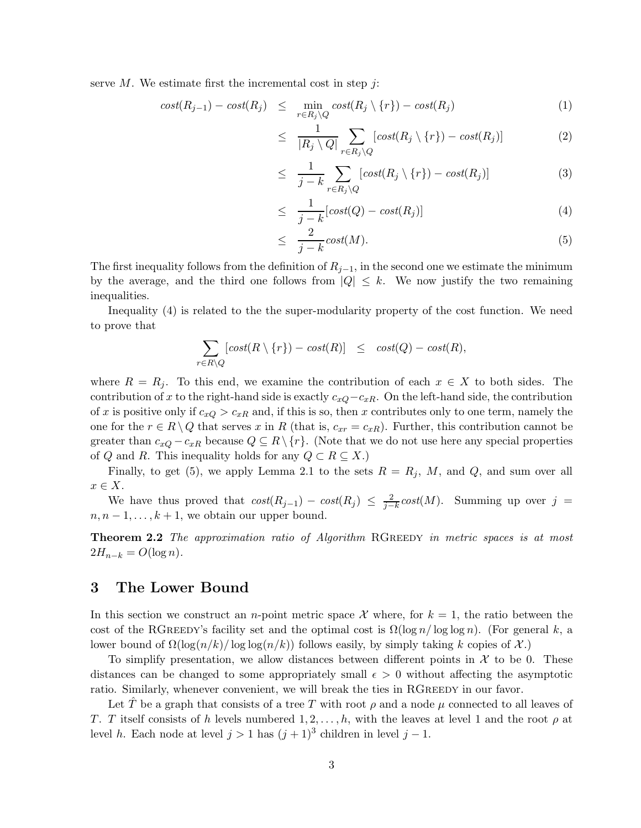<span id="page-2-0"></span>serve  $M$ . We estimate first the incremental cost in step  $j$ :

$$
cost(R_{j-1}) - cost(R_j) \leq \min_{r \in R_j \setminus Q} cost(R_j \setminus \{r\}) - cost(R_j) \tag{1}
$$

$$
\leq \frac{1}{|R_j \setminus Q|} \sum_{r \in R_j \setminus Q} [cost(R_j \setminus \{r\}) - cost(R_j)] \tag{2}
$$

$$
\leq \frac{1}{j-k} \sum_{r \in R_j \setminus Q} [cost(R_j \setminus \{r\}) - cost(R_j)] \tag{3}
$$

$$
\leq \frac{1}{j-k} [cost(Q) - cost(R_j)] \tag{4}
$$

$$
\leq \frac{2}{j-k} \operatorname{cost}(M). \tag{5}
$$

The first inequality follows from the definition of  $R_{j-1}$ , in the second one we estimate the minimum by the average, and the third one follows from  $|Q| \leq k$ . We now justify the two remaining inequalities.

Inequality [\(4\)](#page-2-0) is related to the the super-modularity property of the cost function. We need to prove that

$$
\sum_{r \in R \setminus Q} [cost(R \setminus \{r\}) - cost(R)] \le cost(Q) - cost(R),
$$

where  $R = R_j$ . To this end, we examine the contribution of each  $x \in X$  to both sides. The contribution of x to the right-hand side is exactly  $c_{xQ} - c_{xR}$ . On the left-hand side, the contribution of x is positive only if  $c_{xQ} > c_{xR}$  and, if this is so, then x contributes only to one term, namely the one for the  $r \in R \setminus Q$  that serves x in R (that is,  $c_{xr} = c_{xR}$ ). Further, this contribution cannot be greater than  $c_{xQ} - c_{xR}$  because  $Q \subseteq R \setminus \{r\}$ . (Note that we do not use here any special properties of Q and R. This inequality holds for any  $Q \subset R \subseteq X$ .)

Finally, to get [\(5\)](#page-2-0), we apply Lemma [2.1](#page-1-0) to the sets  $R = R_i$ , M, and Q, and sum over all  $x \in X$ .

We have thus proved that  $cost(R_{j-1}) - cost(R_j) \leq \frac{2}{j-k} cost(M)$ . Summing up over  $j =$  $n, n-1, \ldots, k+1$ , we obtain our upper bound.

**Theorem 2.2** The approximation ratio of Algorithm RGREEDY in metric spaces is at most  $2H_{n-k} = O(\log n)$ .

### <span id="page-2-1"></span>3 The Lower Bound

In this section we construct an *n*-point metric space X where, for  $k = 1$ , the ratio between the cost of the RGREEDY's facility set and the optimal cost is  $\Omega(\log n / \log \log n)$ . (For general k, a lower bound of  $\Omega(\log(n/k)/\log\log(n/k))$  follows easily, by simply taking k copies of X.)

To simplify presentation, we allow distances between different points in  $\mathcal X$  to be 0. These distances can be changed to some appropriately small  $\epsilon > 0$  without affecting the asymptotic ratio. Similarly, whenever convenient, we will break the ties in RGREEDY in our favor.

Let T be a graph that consists of a tree T with root  $\rho$  and a node  $\mu$  connected to all leaves of T. T itself consists of h levels numbered  $1, 2, \ldots, h$ , with the leaves at level 1 and the root  $\rho$  at level h. Each node at level  $j > 1$  has  $(j + 1)^3$  children in level  $j - 1$ .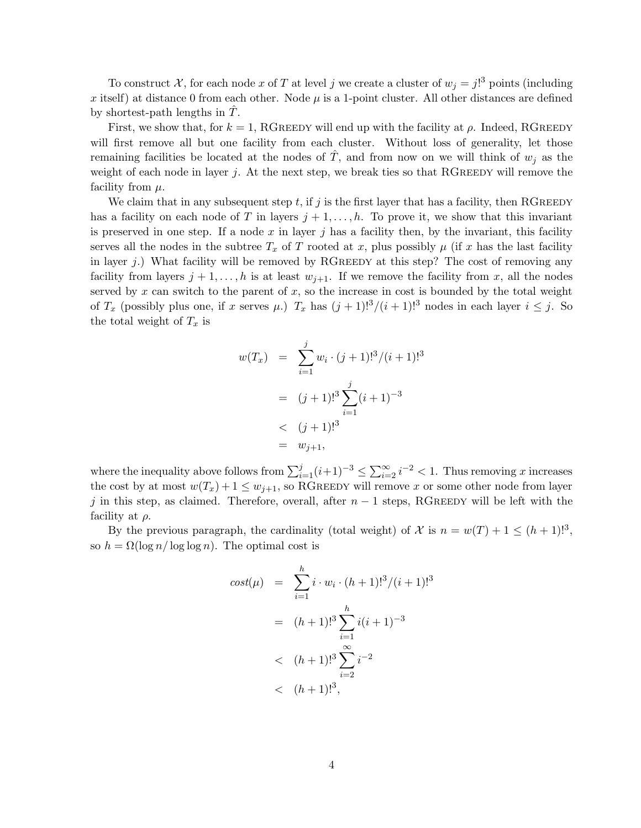To construct X, for each node x of T at level j we create a cluster of  $w_j = j!^3$  points (including x itself) at distance 0 from each other. Node  $\mu$  is a 1-point cluster. All other distances are defined by shortest-path lengths in  $T$ .

First, we show that, for  $k = 1$ , RGREEDY will end up with the facility at  $\rho$ . Indeed, RGREEDY will first remove all but one facility from each cluster. Without loss of generality, let those remaining facilities be located at the nodes of  $\hat{T}$ , and from now on we will think of  $w_j$  as the weight of each node in layer j. At the next step, we break ties so that RGREEDY will remove the facility from  $\mu$ .

We claim that in any subsequent step  $t$ , if j is the first layer that has a facility, then RGREEDY has a facility on each node of T in layers  $j + 1, \ldots, h$ . To prove it, we show that this invariant is preserved in one step. If a node  $x$  in layer  $j$  has a facility then, by the invariant, this facility serves all the nodes in the subtree  $T_x$  of T rooted at x, plus possibly  $\mu$  (if x has the last facility in layer j.) What facility will be removed by RGREEDY at this step? The cost of removing any facility from layers  $j + 1, \ldots, h$  is at least  $w_{j+1}$ . If we remove the facility from x, all the nodes served by  $x$  can switch to the parent of  $x$ , so the increase in cost is bounded by the total weight of  $T_x$  (possibly plus one, if x serves  $\mu$ .)  $T_x$  has  $(j + 1)!^3/(i + 1)!^3$  nodes in each layer  $i \leq j$ . So the total weight of  $T_x$  is

$$
w(T_x) = \sum_{i=1}^{j} w_i \cdot (j+1)!^3 / (i+1)!^3
$$
  
=  $(j+1)!^3 \sum_{i=1}^{j} (i+1)^{-3}$   
<  $(j+1)!^3$   
=  $w_{j+1}$ ,

where the inequality above follows from  $\sum_{i=1}^{j} (i+1)^{-3} \le \sum_{i=2}^{\infty} i^{-2} < 1$ . Thus removing x increases the cost by at most  $w(T_x)+1 \leq w_{j+1}$ , so RGREEDY will remove x or some other node from layer j in this step, as claimed. Therefore, overall, after  $n-1$  steps, RGREEDY will be left with the facility at  $\rho$ .

By the previous paragraph, the cardinality (total weight) of X is  $n = w(T) + 1 \leq (h + 1)!^3$ . so  $h = \Omega(\log n / \log \log n)$ . The optimal cost is

$$
cost(\mu) = \sum_{i=1}^{h} i \cdot w_i \cdot (h+1)!^3 / (i+1)!^3
$$
  
=  $(h+1)!^3 \sum_{i=1}^{h} i(i+1)^{-3}$   
<  $(h+1)!^3 \sum_{i=2}^{\infty} i^{-2}$   
<  $(h+1)!^3$ ,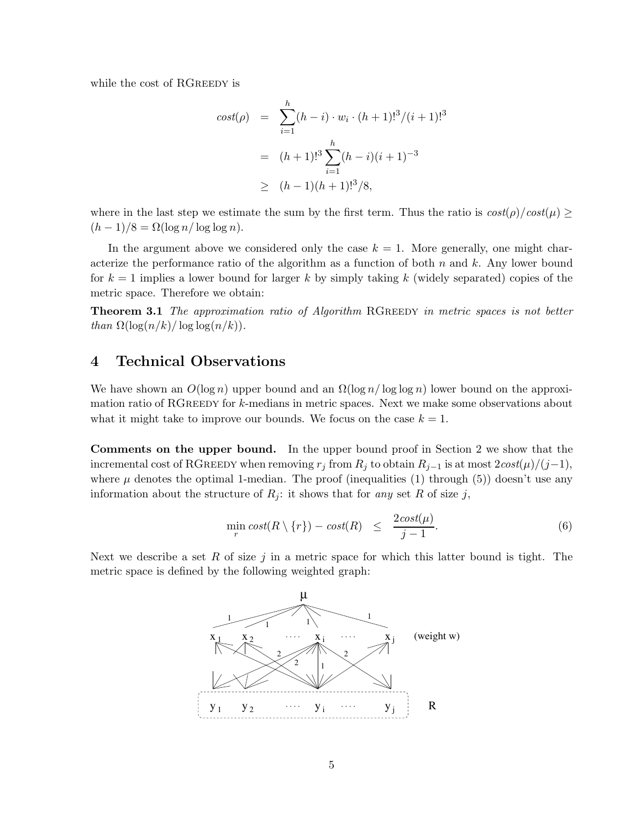while the cost of RGREEDY is

$$
cost(\rho) = \sum_{i=1}^{h} (h-i) \cdot w_i \cdot (h+1)!^3 / (i+1)!^3
$$
  
=  $(h+1)!^3 \sum_{i=1}^{h} (h-i)(i+1)^{-3}$   
 $\geq (h-1)(h+1)!^3 / 8,$ 

where in the last step we estimate the sum by the first term. Thus the ratio is  $\cos(t) / \cos(t) \ge$  $(h-1)/8 = \Omega(\log n / \log \log n).$ 

In the argument above we considered only the case  $k = 1$ . More generally, one might characterize the performance ratio of the algorithm as a function of both  $n$  and  $k$ . Any lower bound for  $k = 1$  implies a lower bound for larger k by simply taking k (widely separated) copies of the metric space. Therefore we obtain:

**Theorem 3.1** The approximation ratio of Algorithm RGREEDY in metric spaces is not better than  $\Omega(\log(n/k)/\log\log(n/k)).$ 

### 4 Technical Observations

We have shown an  $O(\log n)$  upper bound and an  $\Omega(\log n / \log \log n)$  lower bound on the approximation ratio of RGREEDY for  $k$ -medians in metric spaces. Next we make some observations about what it might take to improve our bounds. We focus on the case  $k = 1$ .

Comments on the upper bound. In the upper bound proof in Section [2](#page-1-1) we show that the incremental cost of RGREEDY when removing  $r_j$  from  $R_j$  to obtain  $R_{j-1}$  is at most  $2\cos\left(\frac{\mu}{j-1}\right)$ , where  $\mu$  denotes the optimal 1-median. The proof (inequalities [\(1\)](#page-2-0) through [\(5\)](#page-2-0)) doesn't use any information about the structure of  $R_i$ : it shows that for any set R of size j,

$$
\min_{r} \cos t(R \setminus \{r\}) - \cos t(R) \leq \frac{2\cos t(\mu)}{j-1}.
$$
 (6)

<span id="page-4-0"></span>Next we describe a set R of size j in a metric space for which this latter bound is tight. The metric space is defined by the following weighted graph:

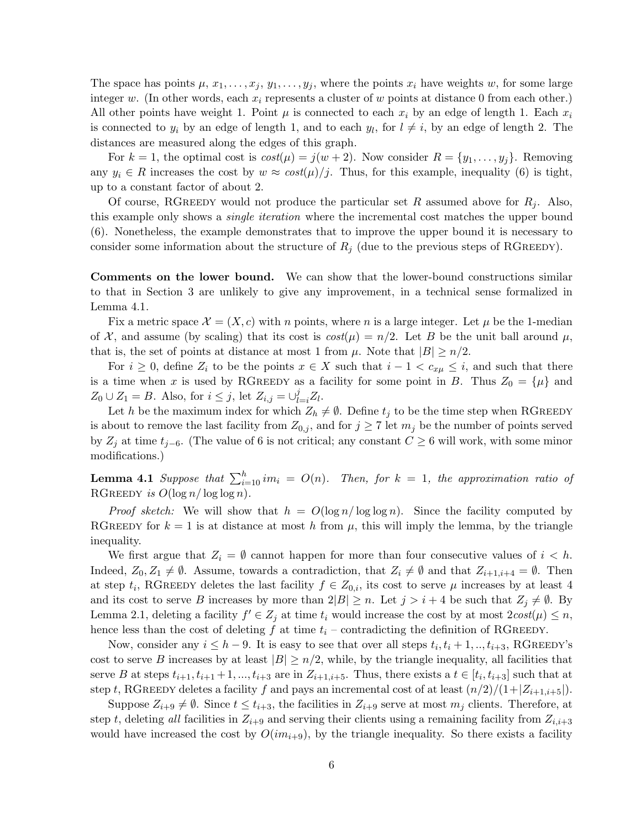The space has points  $\mu$ ,  $x_1, \ldots, x_j$ ,  $y_1, \ldots, y_j$ , where the points  $x_i$  have weights w, for some large integer w. (In other words, each  $x_i$  represents a cluster of w points at distance 0 from each other.) All other points have weight 1. Point  $\mu$  is connected to each  $x_i$  by an edge of length 1. Each  $x_i$ is connected to  $y_i$  by an edge of length 1, and to each  $y_l$ , for  $l \neq i$ , by an edge of length 2. The distances are measured along the edges of this graph.

For  $k = 1$ , the optimal cost is  $cost(\mu) = j(w + 2)$ . Now consider  $R = \{y_1, \ldots, y_j\}$ . Removing any  $y_i \in R$  increases the cost by  $w \approx cost(\mu)/j$ . Thus, for this example, inequality [\(6\)](#page-4-0) is tight, up to a constant factor of about 2.

Of course, RGREEDY would not produce the particular set R assumed above for  $R_i$ . Also, this example only shows a single iteration where the incremental cost matches the upper bound [\(6\)](#page-4-0). Nonetheless, the example demonstrates that to improve the upper bound it is necessary to consider some information about the structure of  $R_i$  (due to the previous steps of RGREEDY).

Comments on the lower bound. We can show that the lower-bound constructions similar to that in Section [3](#page-2-1) are unlikely to give any improvement, in a technical sense formalized in Lemma [4.1.](#page-5-0)

Fix a metric space  $\mathcal{X} = (X, c)$  with n points, where n is a large integer. Let  $\mu$  be the 1-median of X, and assume (by scaling) that its cost is  $cost(\mu) = n/2$ . Let B be the unit ball around  $\mu$ , that is, the set of points at distance at most 1 from  $\mu$ . Note that  $|B| \geq n/2$ .

For  $i \geq 0$ , define  $Z_i$  to be the points  $x \in X$  such that  $i - 1 < c_{x\mu} \leq i$ , and such that there is a time when x is used by RGREEDY as a facility for some point in B. Thus  $Z_0 = {\mu}$  and  $Z_0 \cup Z_1 = B$ . Also, for  $i \leq j$ , let  $Z_{i,j} = \bigcup_{l=i}^{j} Z_l$ .

Let h be the maximum index for which  $Z_h \neq \emptyset$ . Define  $t_j$  to be the time step when RGREEDY is about to remove the last facility from  $Z_{0,j}$ , and for  $j \geq 7$  let  $m_j$  be the number of points served by  $Z_j$  at time  $t_{j-6}$ . (The value of 6 is not critical; any constant  $C \geq 6$  will work, with some minor modifications.)

<span id="page-5-0"></span>**Lemma 4.1** Suppose that  $\sum_{i=10}^{h} im_i = O(n)$ . Then, for  $k = 1$ , the approximation ratio of RGREEDY is  $O(\log n / \log \log n)$ .

*Proof sketch:* We will show that  $h = O(\log n / \log \log n)$ . Since the facility computed by RGREEDY for  $k = 1$  is at distance at most h from  $\mu$ , this will imply the lemma, by the triangle inequality.

We first argue that  $Z_i = \emptyset$  cannot happen for more than four consecutive values of  $i < h$ . Indeed,  $Z_0, Z_1 \neq \emptyset$ . Assume, towards a contradiction, that  $Z_i \neq \emptyset$  and that  $Z_{i+1,i+4} = \emptyset$ . Then at step  $t_i$ , RGREEDY deletes the last facility  $f \in Z_{0,i}$ , its cost to serve  $\mu$  increases by at least 4 and its cost to serve B increases by more than  $2|B| \geq n$ . Let  $j>i+4$  be such that  $Z_j \neq \emptyset$ . By Lemma [2.1,](#page-1-0) deleting a facility  $f' \in Z_i$  at time  $t_i$  would increase the cost by at most  $2cost(\mu) \leq n$ , hence less than the cost of deleting f at time  $t_i$  – contradicting the definition of RGREEDY.

Now, consider any  $i \leq h-9$ . It is easy to see that over all steps  $t_i, t_i + 1, \ldots, t_{i+3}$ , RGREEDY's cost to serve B increases by at least  $|B| \ge n/2$ , while, by the triangle inequality, all facilities that serve B at steps  $t_{i+1}, t_{i+1}+1, \ldots, t_{i+3}$  are in  $Z_{i+1,i+5}$ . Thus, there exists a  $t \in [t_i, t_{i+3}]$  such that at step t, RGREEDY deletes a facility f and pays an incremental cost of at least  $\frac{n}{2}/(1+|Z_{i+1,i+5}|)$ .

Suppose  $Z_{i+9} \neq \emptyset$ . Since  $t \leq t_{i+3}$ , the facilities in  $Z_{i+9}$  serve at most  $m_j$  clients. Therefore, at step t, deleting all facilities in  $Z_{i+9}$  and serving their clients using a remaining facility from  $Z_{i,i+3}$ would have increased the cost by  $O(im_{i+9})$ , by the triangle inequality. So there exists a facility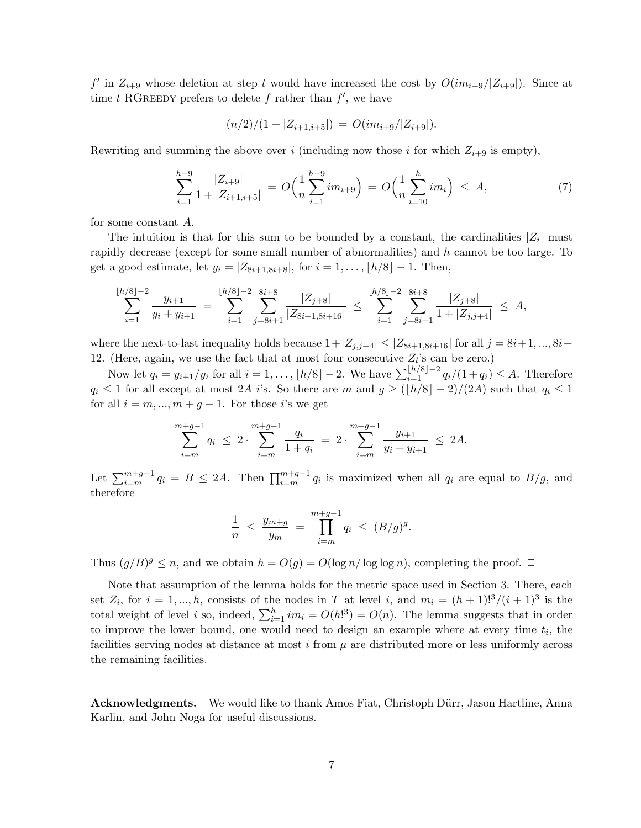f' in  $Z_{i+9}$  whose deletion at step t would have increased the cost by  $O(im_{i+9}/|Z_{i+9}|)$ . Since at time t RGREEDY prefers to delete f rather than  $f'$ , we have

$$
(n/2)/(1+|Z_{i+1,i+5}|) = O(im_{i+9}/|Z_{i+9}|).
$$

Rewriting and summing the above over i (including now those i for which  $Z_{i+9}$  is empty),

$$
\sum_{i=1}^{h-9} \frac{|Z_{i+9}|}{1+|Z_{i+1,i+5}|} = O\Big(\frac{1}{n}\sum_{i=1}^{h-9} im_{i+9}\Big) = O\Big(\frac{1}{n}\sum_{i=10}^{h} im_i\Big) \leq A,
$$
\n(7)

for some constant A.

The intuition is that for this sum to be bounded by a constant, the cardinalities  $|Z_i|$  must rapidly decrease (except for some small number of abnormalities) and h cannot be too large. To get a good estimate, let  $y_i = |Z_{8i+1,8i+8}|$ , for  $i = 1, ..., \lfloor h/8 \rfloor - 1$ . Then,

$$
\sum_{i=1}^{\lfloor h/8 \rfloor -2} \frac{y_{i+1}}{y_i + y_{i+1}} = \sum_{i=1}^{\lfloor h/8 \rfloor -2} \sum_{j=8i+1}^{8i+8} \frac{|Z_{j+8}|}{|Z_{8i+1,8i+16}|} \le \sum_{i=1}^{\lfloor h/8 \rfloor -2} \sum_{j=8i+1}^{8i+8} \frac{|Z_{j+8}|}{1 + |Z_{j,j+4}|} \le A,
$$

where the next-to-last inequality holds because  $1+|Z_{j,j+4}| \leq |Z_{8i+1,8i+16}|$  for all  $j = 8i+1, ..., 8i+1$ 12. (Here, again, we use the fact that at most four consecutive  $Z_l$ 's can be zero.)

Now let  $q_i = y_{i+1}/y_i$  for all  $i = 1, \ldots, \lfloor h/8 \rfloor - 2$ . We have  $\sum_{i=1}^{\lfloor h/8 \rfloor - 2} q_i/(1 + q_i) \leq A$ . Therefore  $q_i \leq 1$  for all except at most 2A i's. So there are m and  $g \geq (\lfloor h/8 \rfloor - 2)/(2A)$  such that  $q_i \leq 1$ for all  $i = m, ..., m + g - 1$ . For those i's we get

$$
\sum_{i=m}^{m+g-1} q_i \le 2 \cdot \sum_{i=m}^{m+g-1} \frac{q_i}{1+q_i} = 2 \cdot \sum_{i=m}^{m+g-1} \frac{y_{i+1}}{y_i + y_{i+1}} \le 2A.
$$

Let  $\sum_{i=m}^{m+g-1} q_i = B \le 2A$ . Then  $\prod_{i=m}^{m+g-1} q_i$  is maximized when all  $q_i$  are equal to  $B/g$ , and therefore

$$
\frac{1}{n} \le \frac{y_{m+g}}{y_m} = \prod_{i=m}^{m+g-1} q_i \le (B/g)^g.
$$

Thus  $(q/B)^g \leq n$ , and we obtain  $h = O(q) = O(\log n / \log \log n)$ , completing the proof.  $\Box$ 

Note that assumption of the lemma holds for the metric space used in Section [3.](#page-2-1) There, each set  $Z_i$ , for  $i = 1, ..., h$ , consists of the nodes in T at level i, and  $m_i = (h+1)!^3/(i+1)^3$  is the total weight of level *i* so, indeed,  $\sum_{i=1}^{h} im_i = O(h!)^3 = O(n)$ . The lemma suggests that in order to improve the lower bound, one would need to design an example where at every time  $t_i$ , the facilities serving nodes at distance at most i from  $\mu$  are distributed more or less uniformly across the remaining facilities.

Acknowledgments. We would like to thank Amos Fiat, Christoph Dürr, Jason Hartline, Anna Karlin, and John Noga for useful discussions.